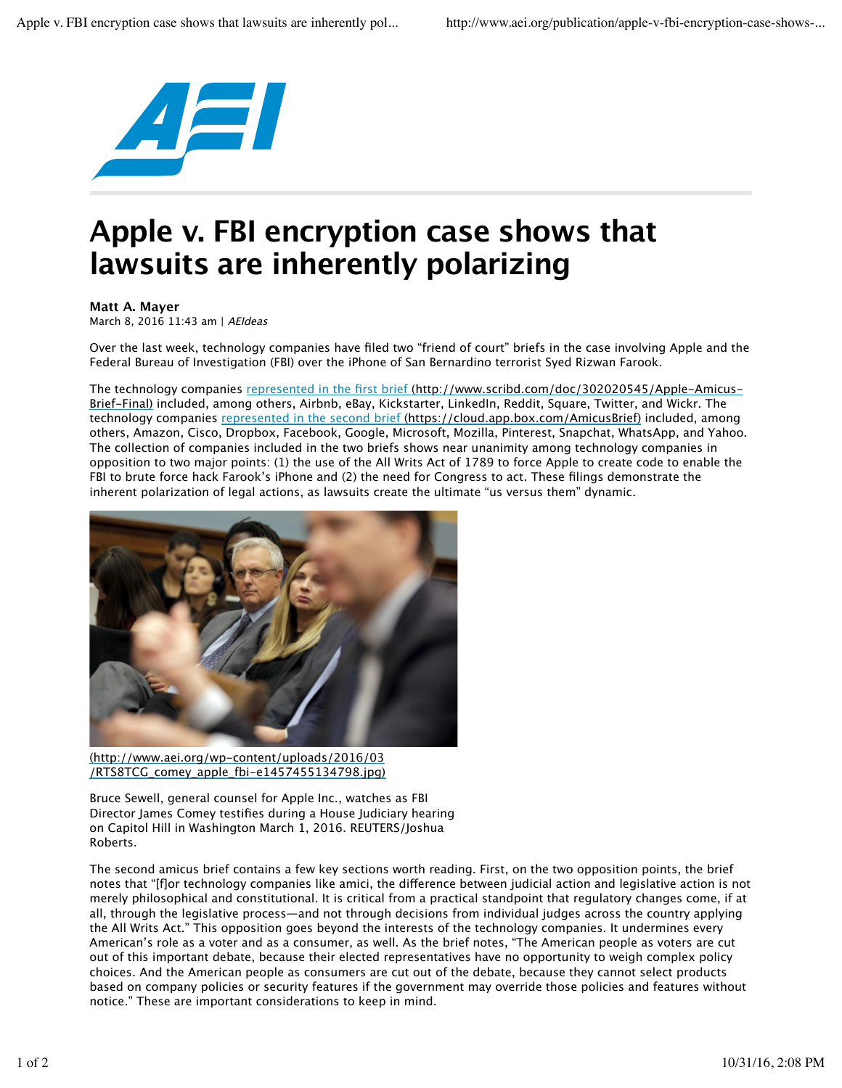

## **Apple v. FBI encryption case shows that lawsuits are inherently polarizing**

## **Matt A. Mayer** March 8, 2016 11:43 am | AEIdeas

Over the last week, technology companies have filed two "friend of court" briefs in the case involving Apple and the Federal Bureau of Investigation (FBI) over the iPhone of San Bernardino terrorist Syed Rizwan Farook.

The technology companies represented in the first brief (http://www.scribd.com/doc/302020545/Apple-Amicus-Brief-Final) included, among others, Airbnb, eBay, Kickstarter, LinkedIn, Reddit, Square, Twitter, and Wickr. The technology companies represented in the second brief (https://cloud.app.box.com/AmicusBrief) included, among others, Amazon, Cisco, Dropbox, Facebook, Google, Microsoft, Mozilla, Pinterest, Snapchat, WhatsApp, and Yahoo. The collection of companies included in the two briefs shows near unanimity among technology companies in opposition to two major points: (1) the use of the All Writs Act of 1789 to force Apple to create code to enable the FBI to brute force hack Farook's iPhone and (2) the need for Congress to act. These filings demonstrate the inherent polarization of legal actions, as lawsuits create the ultimate "us versus them" dynamic.



(http://www.aei.org/wp-content/uploads/2016/03 /RTS8TCG\_comey\_apple\_fbi-e1457455134798.jpg)

Bruce Sewell, general counsel for Apple Inc., watches as FBI Director James Comey testifies during a House Judiciary hearing on Capitol Hill in Washington March 1, 2016. REUTERS/Joshua Roberts.

The second amicus brief contains a few key sections worth reading. First, on the two opposition points, the brief notes that "[f]or technology companies like amici, the diference between judicial action and legislative action is not merely philosophical and constitutional. It is critical from a practical standpoint that regulatory changes come, if at all, through the legislative process—and not through decisions from individual judges across the country applying the All Writs Act." This opposition goes beyond the interests of the technology companies. It undermines every American's role as a voter and as a consumer, as well. As the brief notes, "The American people as voters are cut out of this important debate, because their elected representatives have no opportunity to weigh complex policy choices. And the American people as consumers are cut out of the debate, because they cannot select products based on company policies or security features if the government may override those policies and features without notice." These are important considerations to keep in mind.